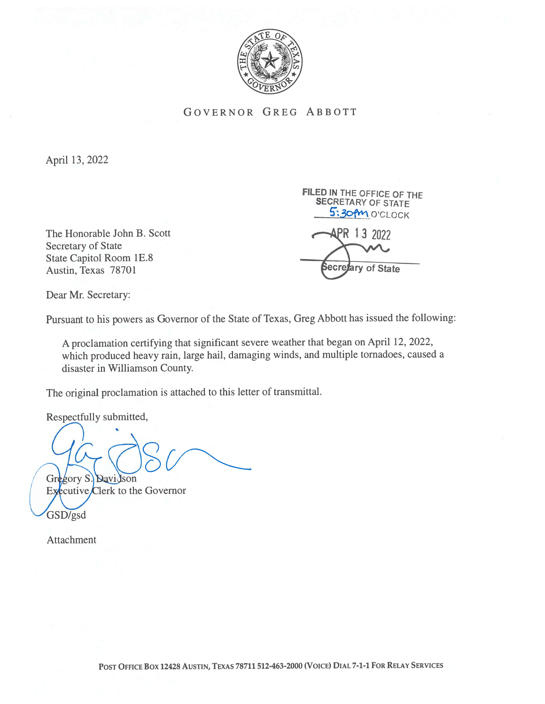

GOVERNOR GREG ABBOTT

April 13, 2022

The Honorable John B. Scott  $\bigoplus$  PR 13 2022 Secretary of State State Capitol Room 1E.8 Austin, Texas 78701

SECRETARY OF STATE 5:30PM O'CLOCK **Secretary of State** 

FiLED IN THE OFFICE OF THE

Dear Mr. Secretary:

Pursuant to his powers as Governor of the State of Texas, Greg Abbott has issued the following:

A proclamation certifying that significant severe weather that began on April 12, 2022, which produced heavy rain, large hail, damaging winds, and multiple tornadoes, caused <sup>a</sup> disaster in Williamson County.

The original proclamation is attached to this letter of transmittal.

Respectfully submitted,

Gregory S. Davidson Executive  $C$ lerk to the Governor

Attachment

GSD/gsd